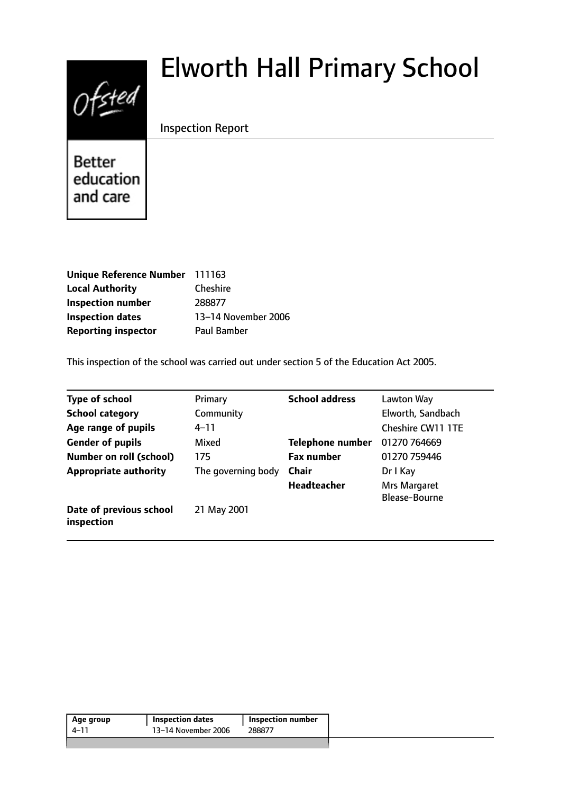# $0$ fsted

# Elworth Hall Primary School

# Inspection Report

**Better** education and care

| Unique Reference Number 111163 |                     |
|--------------------------------|---------------------|
| <b>Local Authority</b>         | <b>Cheshire</b>     |
| <b>Inspection number</b>       | 288877              |
| <b>Inspection dates</b>        | 13-14 November 2006 |
| <b>Reporting inspector</b>     | Paul Bamber         |

This inspection of the school was carried out under section 5 of the Education Act 2005.

| Type of school                        | Primary            | <b>School address</b>   | Lawton Way               |
|---------------------------------------|--------------------|-------------------------|--------------------------|
| <b>School category</b>                | Community          |                         | Elworth, Sandbach        |
| Age range of pupils                   | 4–11               |                         | <b>Cheshire CW11 1TE</b> |
| <b>Gender of pupils</b>               | Mixed              | <b>Telephone number</b> | 01270 764669             |
| <b>Number on roll (school)</b>        | 175                | <b>Fax number</b>       | 01270 759446             |
| <b>Appropriate authority</b>          | The governing body | <b>Chair</b>            | Dr I Kay                 |
|                                       |                    | Headteacher             | Mrs Margaret             |
|                                       |                    |                         | <b>Blease-Bourne</b>     |
| Date of previous school<br>inspection | 21 May 2001        |                         |                          |

| Age group | <b>Inspection dates</b> | <b>Inspection number</b> |
|-----------|-------------------------|--------------------------|
| 4–11      | 13–14 November 2006     | 288877                   |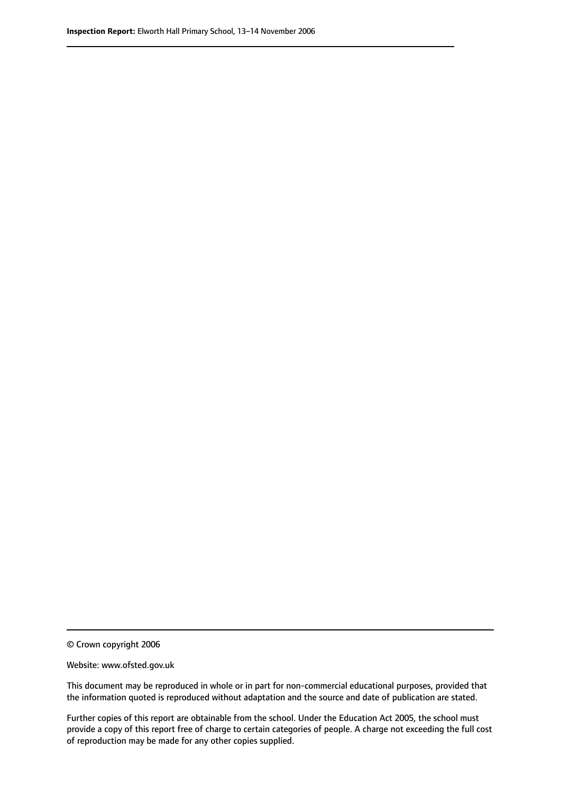© Crown copyright 2006

Website: www.ofsted.gov.uk

This document may be reproduced in whole or in part for non-commercial educational purposes, provided that the information quoted is reproduced without adaptation and the source and date of publication are stated.

Further copies of this report are obtainable from the school. Under the Education Act 2005, the school must provide a copy of this report free of charge to certain categories of people. A charge not exceeding the full cost of reproduction may be made for any other copies supplied.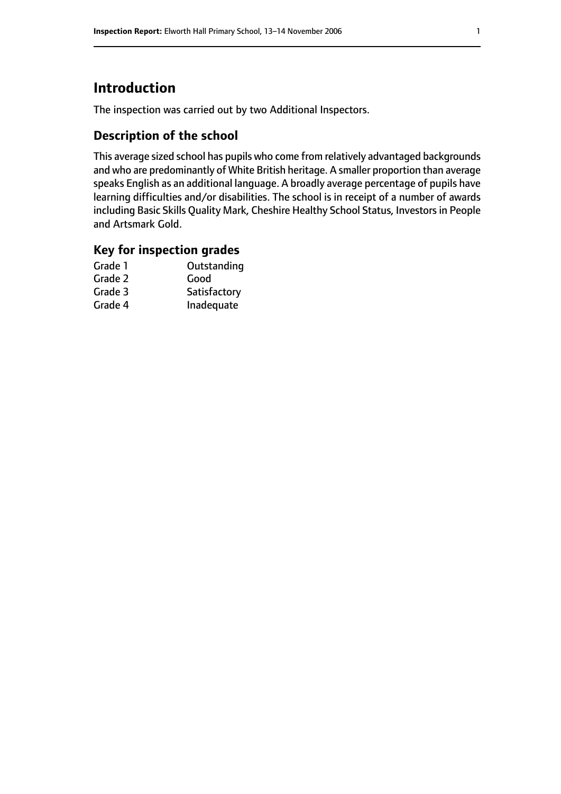# **Introduction**

The inspection was carried out by two Additional Inspectors.

# **Description of the school**

This average sized school has pupils who come from relatively advantaged backgrounds and who are predominantly of White British heritage. A smaller proportion than average speaks English as an additional language. A broadly average percentage of pupils have learning difficulties and/or disabilities. The school is in receipt of a number of awards including Basic Skills Quality Mark, Cheshire Healthy School Status, Investors in People and Artsmark Gold.

### **Key for inspection grades**

| Outstanding  |
|--------------|
| Good         |
| Satisfactory |
| Inadequate   |
|              |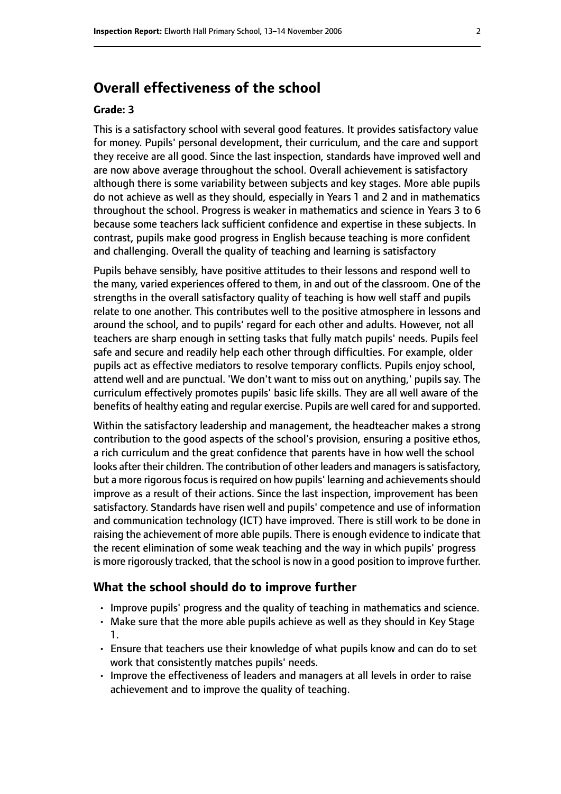# **Overall effectiveness of the school**

#### **Grade: 3**

This is a satisfactory school with several good features. It provides satisfactory value for money. Pupils' personal development, their curriculum, and the care and support they receive are all good. Since the last inspection, standards have improved well and are now above average throughout the school. Overall achievement is satisfactory although there is some variability between subjects and key stages. More able pupils do not achieve as well as they should, especially in Years 1 and 2 and in mathematics throughout the school. Progress is weaker in mathematics and science in Years 3 to 6 because some teachers lack sufficient confidence and expertise in these subjects. In contrast, pupils make good progress in English because teaching is more confident and challenging. Overall the quality of teaching and learning is satisfactory

Pupils behave sensibly, have positive attitudes to their lessons and respond well to the many, varied experiences offered to them, in and out of the classroom. One of the strengths in the overall satisfactory quality of teaching is how well staff and pupils relate to one another. This contributes well to the positive atmosphere in lessons and around the school, and to pupils' regard for each other and adults. However, not all teachers are sharp enough in setting tasks that fully match pupils' needs. Pupils feel safe and secure and readily help each other through difficulties. For example, older pupils act as effective mediators to resolve temporary conflicts. Pupils enjoy school, attend well and are punctual. 'We don't want to miss out on anything,' pupils say. The curriculum effectively promotes pupils' basic life skills. They are all well aware of the benefits of healthy eating and regular exercise. Pupils are well cared for and supported.

Within the satisfactory leadership and management, the headteacher makes a strong contribution to the good aspects of the school's provision, ensuring a positive ethos, a rich curriculum and the great confidence that parents have in how well the school looks after their children. The contribution of other leaders and managers is satisfactory, but a more rigorous focus is required on how pupils' learning and achievements should improve as a result of their actions. Since the last inspection, improvement has been satisfactory. Standards have risen well and pupils' competence and use of information and communication technology (ICT) have improved. There is still work to be done in raising the achievement of more able pupils. There is enough evidence to indicate that the recent elimination of some weak teaching and the way in which pupils' progress is more rigorously tracked, that the school is now in a good position to improve further.

#### **What the school should do to improve further**

- Improve pupils' progress and the quality of teaching in mathematics and science.
- Make sure that the more able pupils achieve as well as they should in Key Stage 1.
- Ensure that teachers use their knowledge of what pupils know and can do to set work that consistently matches pupils' needs.
- Improve the effectiveness of leaders and managers at all levels in order to raise achievement and to improve the quality of teaching.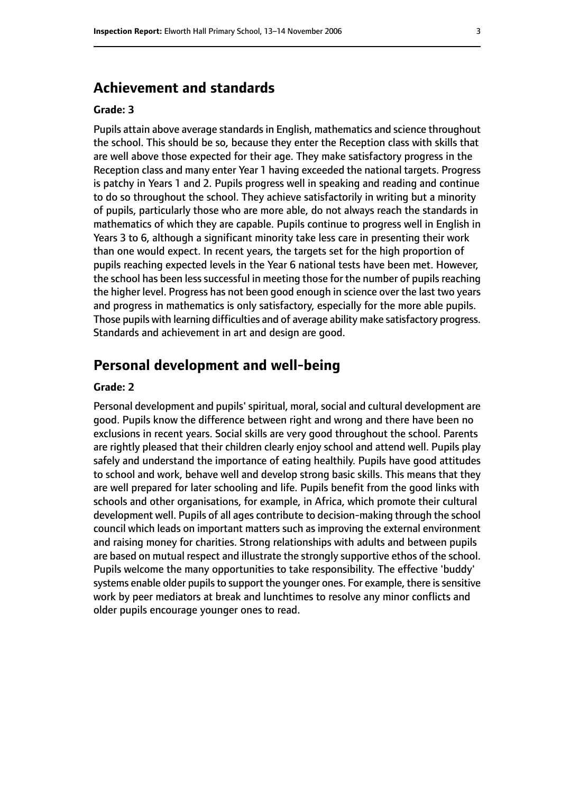# **Achievement and standards**

#### **Grade: 3**

Pupils attain above average standards in English, mathematics and science throughout the school. This should be so, because they enter the Reception class with skills that are well above those expected for their age. They make satisfactory progress in the Reception class and many enter Year 1 having exceeded the national targets. Progress is patchy in Years 1 and 2. Pupils progress well in speaking and reading and continue to do so throughout the school. They achieve satisfactorily in writing but a minority of pupils, particularly those who are more able, do not always reach the standards in mathematics of which they are capable. Pupils continue to progress well in English in Years 3 to 6, although a significant minority take less care in presenting their work than one would expect. In recent years, the targets set for the high proportion of pupils reaching expected levels in the Year 6 national tests have been met. However, the school has been less successful in meeting those for the number of pupils reaching the higher level. Progress has not been good enough in science over the last two years and progress in mathematics is only satisfactory, especially for the more able pupils. Those pupils with learning difficulties and of average ability make satisfactory progress. Standards and achievement in art and design are good.

#### **Personal development and well-being**

#### **Grade: 2**

Personal development and pupils' spiritual, moral, social and cultural development are good. Pupils know the difference between right and wrong and there have been no exclusions in recent years. Social skills are very good throughout the school. Parents are rightly pleased that their children clearly enjoy school and attend well. Pupils play safely and understand the importance of eating healthily. Pupils have good attitudes to school and work, behave well and develop strong basic skills. This means that they are well prepared for later schooling and life. Pupils benefit from the good links with schools and other organisations, for example, in Africa, which promote their cultural development well. Pupils of all ages contribute to decision-making through the school council which leads on important matters such as improving the external environment and raising money for charities. Strong relationships with adults and between pupils are based on mutual respect and illustrate the strongly supportive ethos of the school. Pupils welcome the many opportunities to take responsibility. The effective 'buddy' systems enable older pupils to support the younger ones. For example, there is sensitive work by peer mediators at break and lunchtimes to resolve any minor conflicts and older pupils encourage younger ones to read.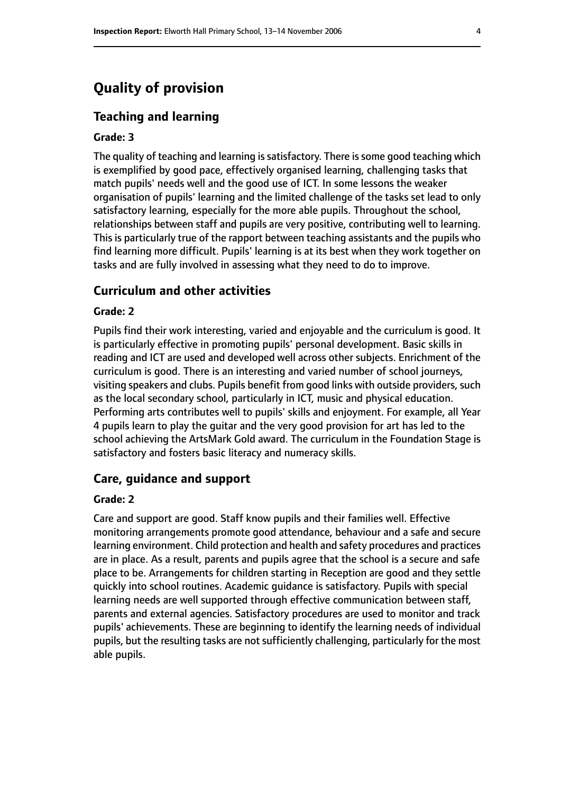# **Quality of provision**

#### **Teaching and learning**

#### **Grade: 3**

The quality of teaching and learning is satisfactory. There is some good teaching which is exemplified by good pace, effectively organised learning, challenging tasks that match pupils' needs well and the good use of ICT. In some lessons the weaker organisation of pupils' learning and the limited challenge of the tasks set lead to only satisfactory learning, especially for the more able pupils. Throughout the school, relationships between staff and pupils are very positive, contributing well to learning. This is particularly true of the rapport between teaching assistants and the pupils who find learning more difficult. Pupils' learning is at its best when they work together on tasks and are fully involved in assessing what they need to do to improve.

#### **Curriculum and other activities**

#### **Grade: 2**

Pupils find their work interesting, varied and enjoyable and the curriculum is good. It is particularly effective in promoting pupils' personal development. Basic skills in reading and ICT are used and developed well across other subjects. Enrichment of the curriculum is good. There is an interesting and varied number of school journeys, visiting speakers and clubs. Pupils benefit from good links with outside providers, such as the local secondary school, particularly in ICT, music and physical education. Performing arts contributes well to pupils' skills and enjoyment. For example, all Year 4 pupils learn to play the guitar and the very good provision for art has led to the school achieving the ArtsMark Gold award. The curriculum in the Foundation Stage is satisfactory and fosters basic literacy and numeracy skills.

#### **Care, guidance and support**

#### **Grade: 2**

Care and support are good. Staff know pupils and their families well. Effective monitoring arrangements promote good attendance, behaviour and a safe and secure learning environment. Child protection and health and safety procedures and practices are in place. As a result, parents and pupils agree that the school is a secure and safe place to be. Arrangements for children starting in Reception are good and they settle quickly into school routines. Academic guidance is satisfactory. Pupils with special learning needs are well supported through effective communication between staff, parents and external agencies. Satisfactory procedures are used to monitor and track pupils' achievements. These are beginning to identify the learning needs of individual pupils, but the resulting tasks are not sufficiently challenging, particularly for the most able pupils.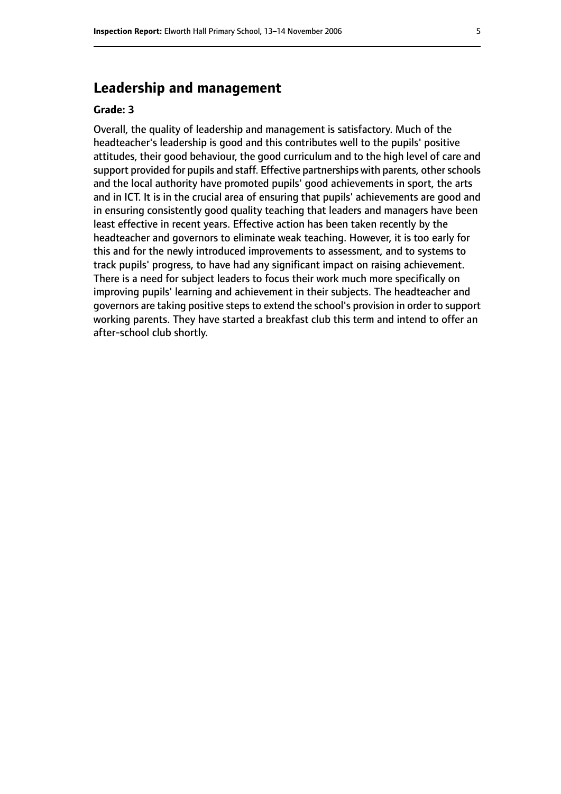# **Leadership and management**

#### **Grade: 3**

Overall, the quality of leadership and management is satisfactory. Much of the headteacher's leadership is good and this contributes well to the pupils' positive attitudes, their good behaviour, the good curriculum and to the high level of care and support provided for pupils and staff. Effective partnerships with parents, other schools and the local authority have promoted pupils' good achievements in sport, the arts and in ICT. It is in the crucial area of ensuring that pupils' achievements are good and in ensuring consistently good quality teaching that leaders and managers have been least effective in recent years. Effective action has been taken recently by the headteacher and governors to eliminate weak teaching. However, it is too early for this and for the newly introduced improvements to assessment, and to systems to track pupils' progress, to have had any significant impact on raising achievement. There is a need for subject leaders to focus their work much more specifically on improving pupils' learning and achievement in their subjects. The headteacher and governors are taking positive steps to extend the school's provision in order to support working parents. They have started a breakfast club this term and intend to offer an after-school club shortly.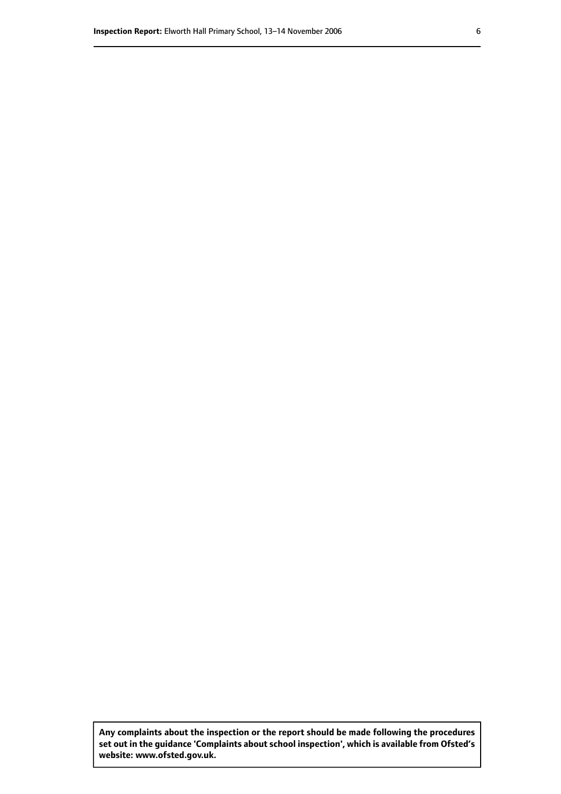**Any complaints about the inspection or the report should be made following the procedures set out inthe guidance 'Complaints about school inspection', whichis available from Ofsted's website: www.ofsted.gov.uk.**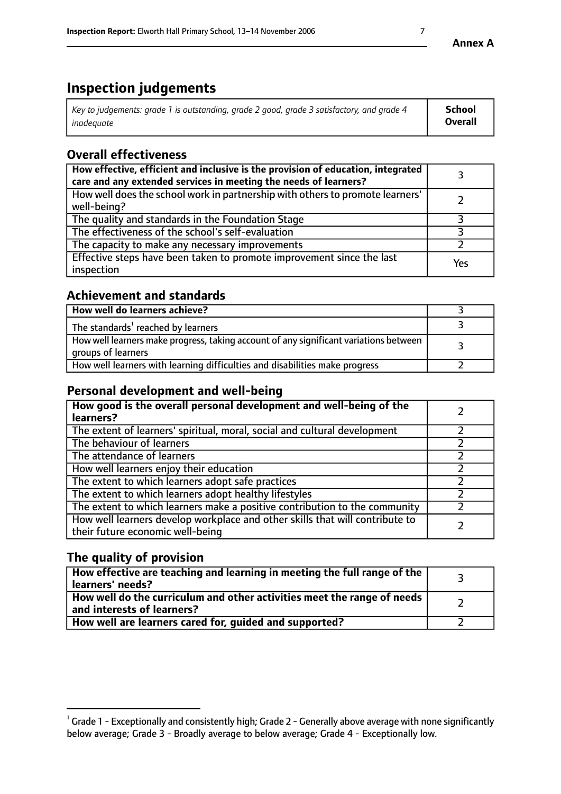# **Inspection judgements**

| Key to judgements: grade 1 is outstanding, grade 2 good, grade 3 satisfactory, and grade 4 | <b>School</b>  |
|--------------------------------------------------------------------------------------------|----------------|
| inadeauate                                                                                 | <b>Overall</b> |

# **Overall effectiveness**

| How effective, efficient and inclusive is the provision of education, integrated<br>care and any extended services in meeting the needs of learners? |     |
|------------------------------------------------------------------------------------------------------------------------------------------------------|-----|
| How well does the school work in partnership with others to promote learners'<br>well-being?                                                         |     |
| The quality and standards in the Foundation Stage                                                                                                    |     |
| The effectiveness of the school's self-evaluation                                                                                                    |     |
| The capacity to make any necessary improvements                                                                                                      |     |
| Effective steps have been taken to promote improvement since the last<br>inspection                                                                  | Yes |

## **Achievement and standards**

| How well do learners achieve?                                                                               |  |
|-------------------------------------------------------------------------------------------------------------|--|
| The standards <sup>1</sup> reached by learners                                                              |  |
| How well learners make progress, taking account of any significant variations between<br>groups of learners |  |
| How well learners with learning difficulties and disabilities make progress                                 |  |

# **Personal development and well-being**

| How good is the overall personal development and well-being of the<br>learners?                                  |  |
|------------------------------------------------------------------------------------------------------------------|--|
| The extent of learners' spiritual, moral, social and cultural development                                        |  |
| The behaviour of learners                                                                                        |  |
| The attendance of learners                                                                                       |  |
| How well learners enjoy their education                                                                          |  |
| The extent to which learners adopt safe practices                                                                |  |
| The extent to which learners adopt healthy lifestyles                                                            |  |
| The extent to which learners make a positive contribution to the community                                       |  |
| How well learners develop workplace and other skills that will contribute to<br>their future economic well-being |  |

# **The quality of provision**

| How effective are teaching and learning in meeting the full range of the<br>learners' needs?          |  |
|-------------------------------------------------------------------------------------------------------|--|
| How well do the curriculum and other activities meet the range of needs<br>and interests of learners? |  |
| How well are learners cared for, guided and supported?                                                |  |

 $^1$  Grade 1 - Exceptionally and consistently high; Grade 2 - Generally above average with none significantly below average; Grade 3 - Broadly average to below average; Grade 4 - Exceptionally low.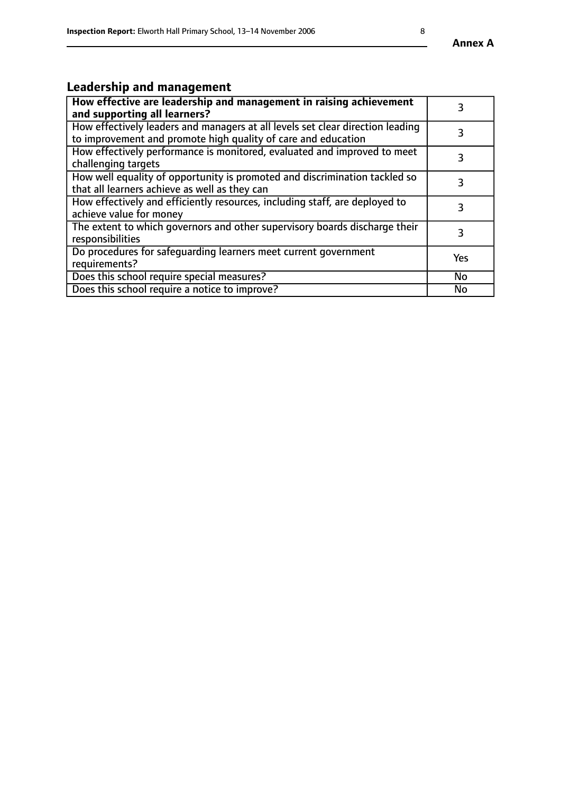# **Leadership and management**

| How effective are leadership and management in raising achievement<br>and supporting all learners?                                              |           |
|-------------------------------------------------------------------------------------------------------------------------------------------------|-----------|
| How effectively leaders and managers at all levels set clear direction leading<br>to improvement and promote high quality of care and education |           |
| How effectively performance is monitored, evaluated and improved to meet<br>challenging targets                                                 | 3         |
| How well equality of opportunity is promoted and discrimination tackled so<br>that all learners achieve as well as they can                     |           |
| How effectively and efficiently resources, including staff, are deployed to<br>achieve value for money                                          | 3         |
| The extent to which governors and other supervisory boards discharge their<br>responsibilities                                                  | 3         |
| Do procedures for safequarding learners meet current government<br>requirements?                                                                | Yes       |
| Does this school require special measures?                                                                                                      | No        |
| Does this school require a notice to improve?                                                                                                   | <b>No</b> |